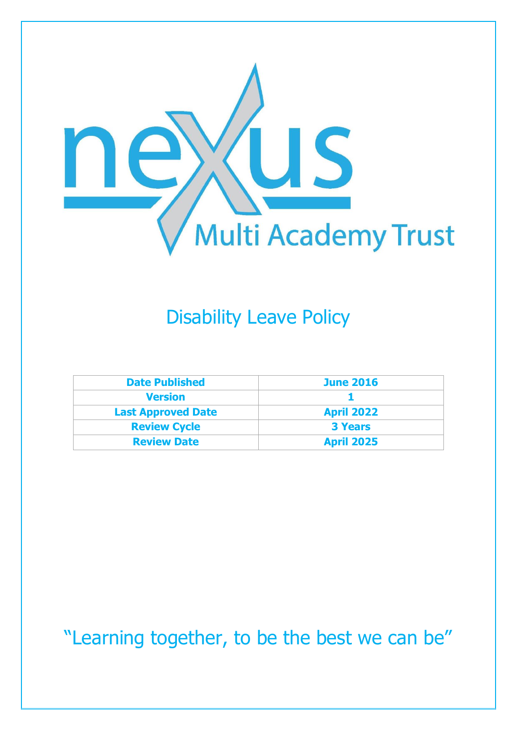

## Disability Leave Policy

| <b>Date Published</b>     | <b>June 2016</b>  |
|---------------------------|-------------------|
| <b>Version</b>            |                   |
| <b>Last Approved Date</b> | <b>April 2022</b> |
| <b>Review Cycle</b>       | <b>3 Years</b>    |
| <b>Review Date</b>        | <b>April 2025</b> |

"Learning together, to be the best we can be"